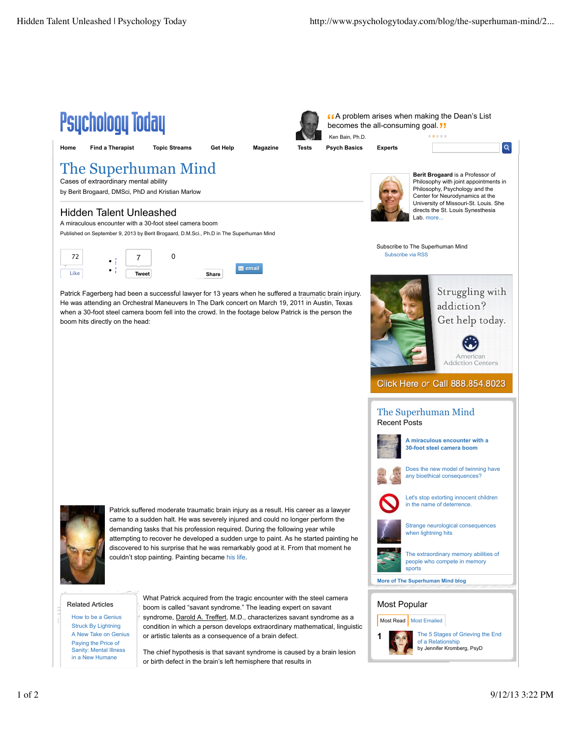